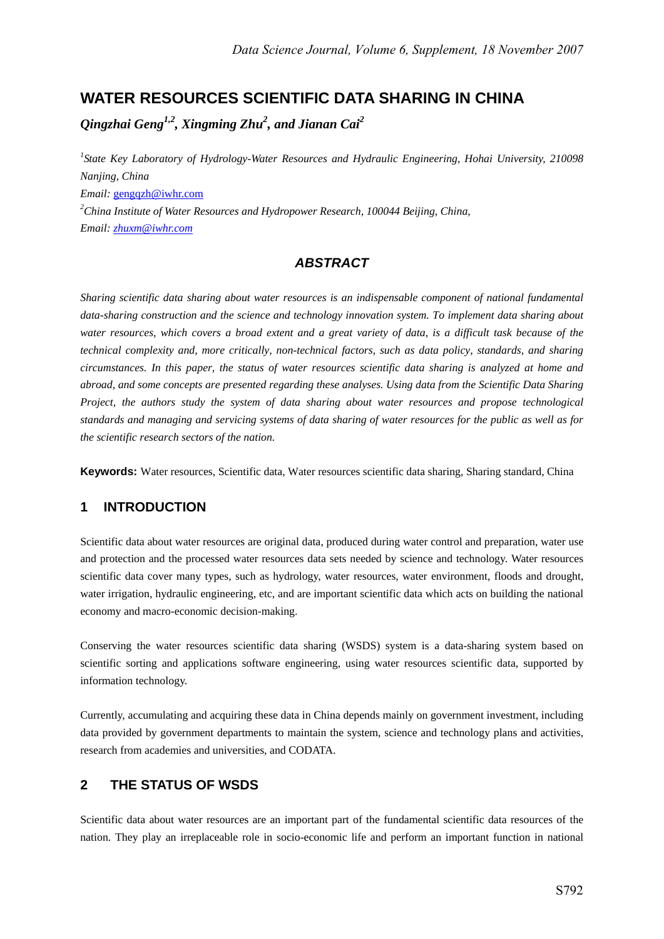# **WATER RESOURCES SCIENTIFIC DATA SHARING IN CHINA**

*Qingzhai Geng1,2, Xingming Zhu2 , and Jianan Cai<sup>2</sup>*

*1 State Key Laboratory of Hydrology-Water Resources and Hydraulic Engineering, Hohai University, 210098 Nanjing, China Email:* gengqzh@iwhr.com *2 China Institute of Water Resources and Hydropower Research, 100044 Beijing, China, Email: zhuxm@iwhr.com*

### *ABSTRACT*

*Sharing scientific data sharing about water resources is an indispensable component of national fundamental data-sharing construction and the science and technology innovation system. To implement data sharing about water resources, which covers a broad extent and a great variety of data, is a difficult task because of the technical complexity and, more critically, non-technical factors, such as data policy, standards, and sharing circumstances. In this paper, the status of water resources scientific data sharing is analyzed at home and abroad, and some concepts are presented regarding these analyses. Using data from the Scientific Data Sharing Project, the authors study the system of data sharing about water resources and propose technological standards and managing and servicing systems of data sharing of water resources for the public as well as for the scientific research sectors of the nation.* 

**Keywords:** Water resources, Scientific data, Water resources scientific data sharing, Sharing standard, China

### **1 INTRODUCTION**

Scientific data about water resources are original data, produced during water control and preparation, water use and protection and the processed water resources data sets needed by science and technology. Water resources scientific data cover many types, such as hydrology, water resources, water environment, floods and drought, water irrigation, hydraulic engineering, etc, and are important scientific data which acts on building the national economy and macro-economic decision-making.

Conserving the water resources scientific data sharing (WSDS) system is a data-sharing system based on scientific sorting and applications software engineering, using water resources scientific data, supported by information technology.

Currently, accumulating and acquiring these data in China depends mainly on government investment, including data provided by government departments to maintain the system, science and technology plans and activities, research from academies and universities, and CODATA.

### **2 THE STATUS OF WSDS**

Scientific data about water resources are an important part of the fundamental scientific data resources of the nation. They play an irreplaceable role in socio-economic life and perform an important function in national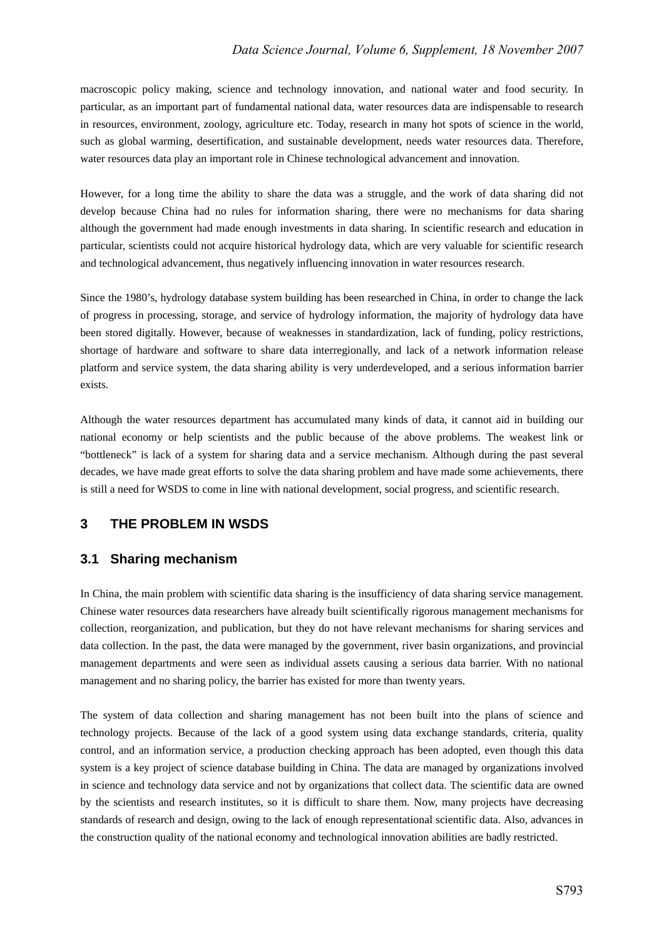macroscopic policy making, science and technology innovation, and national water and food security. In particular, as an important part of fundamental national data, water resources data are indispensable to research in resources, environment, zoology, agriculture etc. Today, research in many hot spots of science in the world, such as global warming, desertification, and sustainable development, needs water resources data. Therefore, water resources data play an important role in Chinese technological advancement and innovation.

However, for a long time the ability to share the data was a struggle, and the work of data sharing did not develop because China had no rules for information sharing, there were no mechanisms for data sharing although the government had made enough investments in data sharing. In scientific research and education in particular, scientists could not acquire historical hydrology data, which are very valuable for scientific research and technological advancement, thus negatively influencing innovation in water resources research.

Since the 1980's, hydrology database system building has been researched in China, in order to change the lack of progress in processing, storage, and service of hydrology information, the majority of hydrology data have been stored digitally. However, because of weaknesses in standardization, lack of funding, policy restrictions, shortage of hardware and software to share data interregionally, and lack of a network information release platform and service system, the data sharing ability is very underdeveloped, and a serious information barrier exists.

Although the water resources department has accumulated many kinds of data, it cannot aid in building our national economy or help scientists and the public because of the above problems. The weakest link or "bottleneck" is lack of a system for sharing data and a service mechanism. Although during the past several decades, we have made great efforts to solve the data sharing problem and have made some achievements, there is still a need for WSDS to come in line with national development, social progress, and scientific research.

### **3 THE PROBLEM IN WSDS**

### **3.1 Sharing mechanism**

In China, the main problem with scientific data sharing is the insufficiency of data sharing service management. Chinese water resources data researchers have already built scientifically rigorous management mechanisms for collection, reorganization, and publication, but they do not have relevant mechanisms for sharing services and data collection. In the past, the data were managed by the government, river basin organizations, and provincial management departments and were seen as individual assets causing a serious data barrier. With no national management and no sharing policy, the barrier has existed for more than twenty years.

The system of data collection and sharing management has not been built into the plans of science and technology projects. Because of the lack of a good system using data exchange standards, criteria, quality control, and an information service, a production checking approach has been adopted, even though this data system is a key project of science database building in China. The data are managed by organizations involved in science and technology data service and not by organizations that collect data. The scientific data are owned by the scientists and research institutes, so it is difficult to share them. Now, many projects have decreasing standards of research and design, owing to the lack of enough representational scientific data. Also, advances in the construction quality of the national economy and technological innovation abilities are badly restricted.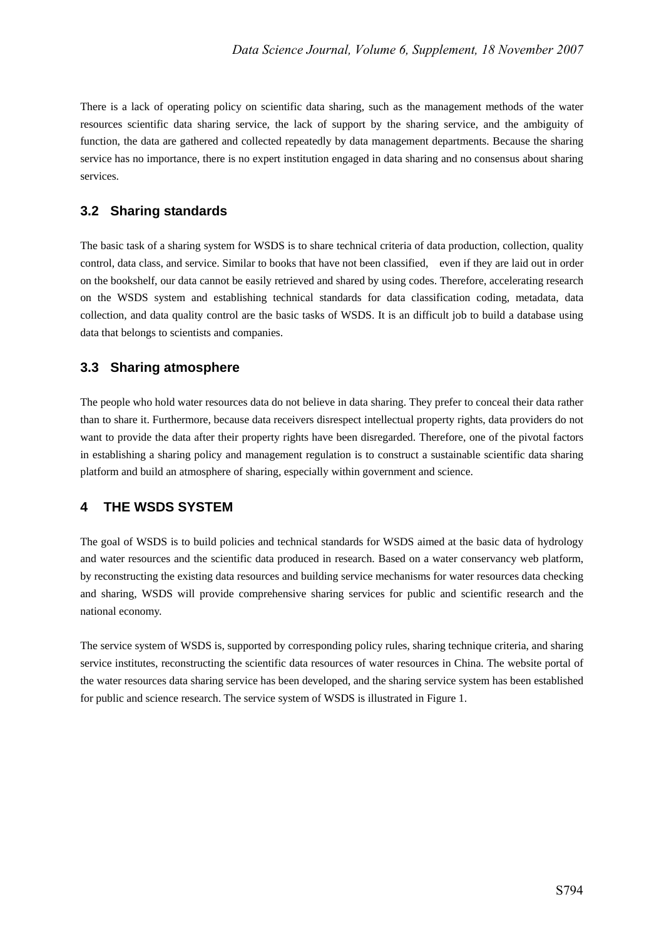There is a lack of operating policy on scientific data sharing, such as the management methods of the water resources scientific data sharing service, the lack of support by the sharing service, and the ambiguity of function, the data are gathered and collected repeatedly by data management departments. Because the sharing service has no importance, there is no expert institution engaged in data sharing and no consensus about sharing services.

#### **3.2 Sharing standards**

The basic task of a sharing system for WSDS is to share technical criteria of data production, collection, quality control, data class, and service. Similar to books that have not been classified, even if they are laid out in order on the bookshelf, our data cannot be easily retrieved and shared by using codes. Therefore, accelerating research on the WSDS system and establishing technical standards for data classification coding, metadata, data collection, and data quality control are the basic tasks of WSDS. It is an difficult job to build a database using data that belongs to scientists and companies.

#### **3.3 Sharing atmosphere**

The people who hold water resources data do not believe in data sharing. They prefer to conceal their data rather than to share it. Furthermore, because data receivers disrespect intellectual property rights, data providers do not want to provide the data after their property rights have been disregarded. Therefore, one of the pivotal factors in establishing a sharing policy and management regulation is to construct a sustainable scientific data sharing platform and build an atmosphere of sharing, especially within government and science.

### **4 THE WSDS SYSTEM**

The goal of WSDS is to build policies and technical standards for WSDS aimed at the basic data of hydrology and water resources and the scientific data produced in research. Based on a water conservancy web platform, by reconstructing the existing data resources and building service mechanisms for water resources data checking and sharing, WSDS will provide comprehensive sharing services for public and scientific research and the national economy.

The service system of WSDS is, supported by corresponding policy rules, sharing technique criteria, and sharing service institutes, reconstructing the scientific data resources of water resources in China. The website portal of the water resources data sharing service has been developed, and the sharing service system has been established for public and science research. The service system of WSDS is illustrated in Figure 1.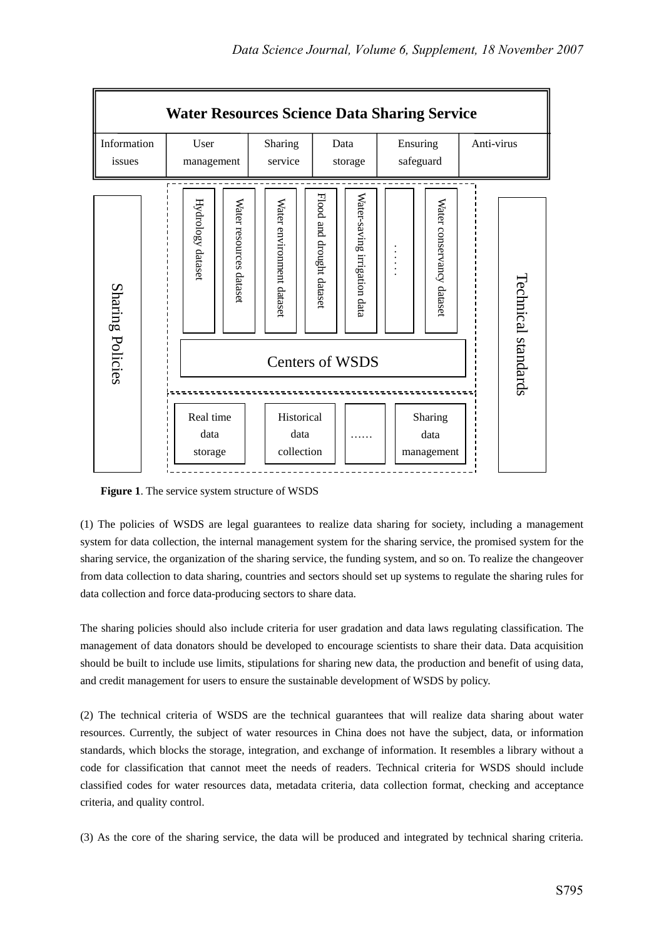

**Figure 1**. The service system structure of WSDS

(1) The policies of WSDS are legal guarantees to realize data sharing for society, including a management system for data collection, the internal management system for the sharing service, the promised system for the sharing service, the organization of the sharing service, the funding system, and so on. To realize the changeover from data collection to data sharing, countries and sectors should set up systems to regulate the sharing rules for data collection and force data-producing sectors to share data.

The sharing policies should also include criteria for user gradation and data laws regulating classification. The management of data donators should be developed to encourage scientists to share their data. Data acquisition should be built to include use limits, stipulations for sharing new data, the production and benefit of using data, and credit management for users to ensure the sustainable development of WSDS by policy.

(2) The technical criteria of WSDS are the technical guarantees that will realize data sharing about water resources. Currently, the subject of water resources in China does not have the subject, data, or information standards, which blocks the storage, integration, and exchange of information. It resembles a library without a code for classification that cannot meet the needs of readers. Technical criteria for WSDS should include classified codes for water resources data, metadata criteria, data collection format, checking and acceptance criteria, and quality control.

(3) As the core of the sharing service, the data will be produced and integrated by technical sharing criteria.